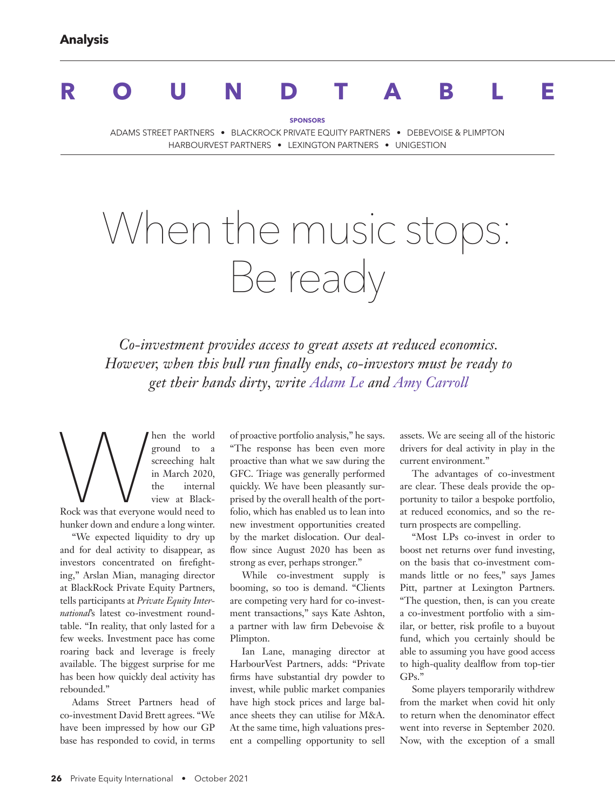# **ROUNDTABLE**

**SPONSORS**

ADAMS STREET PARTNERS • BLACKROCK PRIVATE EQUITY PARTNERS • DEBEVOISE & PLIMPTON HARBOURVEST PARTNERS • LEXINGTON PARTNERS • UNIGESTION

# When the music stops: Be ready

*Co-investment provides access to great assets at reduced economics. However, when this bull run finally ends, co-investors must be ready to get their hands dirty, write Adam Le and Amy Carroll*

Men the world ground to a screeching halt<br>screeching halt<br>in March 2020, the internal<br>Rock was that everyone would need to ground to a screeching halt in March 2020, the internal view at Black-Rock was that everyone would need to hunker down and endure a long winter.

"We expected liquidity to dry up and for deal activity to disappear, as investors concentrated on firefighting," Arslan Mian, managing director at BlackRock Private Equity Partners, tells participants at *Private Equity International*'s latest co-investment roundtable. "In reality, that only lasted for a few weeks. Investment pace has come roaring back and leverage is freely available. The biggest surprise for me has been how quickly deal activity has rebounded."

Adams Street Partners head of co-investment David Brett agrees. "We have been impressed by how our GP base has responded to covid, in terms

of proactive portfolio analysis," he says. "The response has been even more proactive than what we saw during the GFC. Triage was generally performed quickly. We have been pleasantly surprised by the overall health of the portfolio, which has enabled us to lean into new investment opportunities created by the market dislocation. Our dealflow since August 2020 has been as strong as ever, perhaps stronger."

While co-investment supply is booming, so too is demand. "Clients are competing very hard for co-investment transactions," says Kate Ashton, a partner with law firm Debevoise & Plimpton.

Ian Lane, managing director at HarbourVest Partners, adds: "Private firms have substantial dry powder to invest, while public market companies have high stock prices and large balance sheets they can utilise for M&A. At the same time, high valuations present a compelling opportunity to sell assets. We are seeing all of the historic drivers for deal activity in play in the current environment."

The advantages of co-investment are clear. These deals provide the opportunity to tailor a bespoke portfolio, at reduced economics, and so the return prospects are compelling.

"Most LPs co-invest in order to boost net returns over fund investing, on the basis that co-investment commands little or no fees," says James Pitt, partner at Lexington Partners. "The question, then, is can you create a co-investment portfolio with a similar, or better, risk profile to a buyout fund, which you certainly should be able to assuming you have good access to high-quality dealflow from top-tier GPs."

Some players temporarily withdrew from the market when covid hit only to return when the denominator effect went into reverse in September 2020. Now, with the exception of a small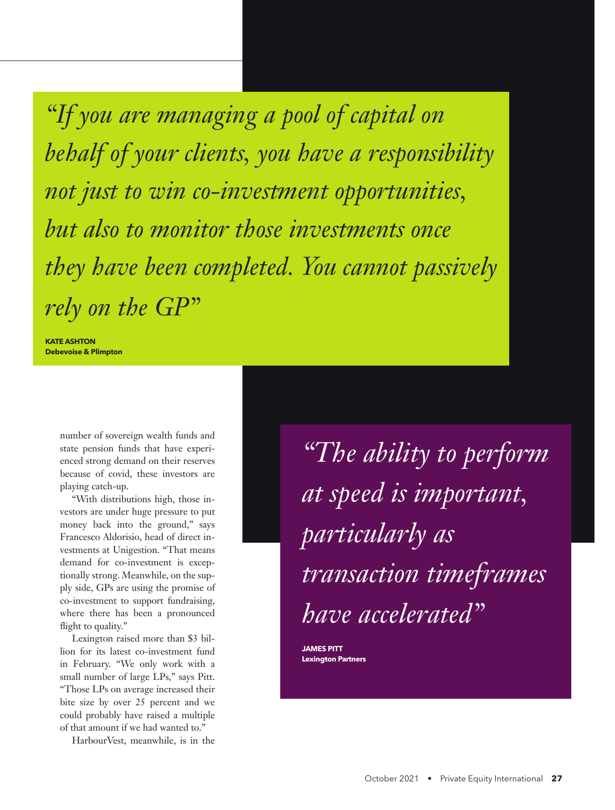*"If you are managing a pool of capital on behalf of your clients, you have a responsibility not just to win co-investment opportunities, but also to monitor those investments once they have been completed. You cannot passively rely on the GP"*

**KATE ASHTON Debevoise & Plimpton** 

> number of sovereign wealth funds and state pension funds that have experienced strong demand on their reserves because of covid, these investors are playing catch-up.

"With distributions high, those investors are under huge pressure to put money back into the ground," says Francesco Aldorisio, head of direct investments at Unigestion. "That means demand for co-investment is exceptionally strong. Meanwhile, on the supply side, GPs are using the promise of co-investment to support fundraising, where there has been a pronounced flight to quality."

Lexington raised more than \$3 billion for its latest co-investment fund in February. "We only work with a small number of large LPs," says Pitt. "Those LPs on average increased their bite size by over 25 percent and we could probably have raised a multiple of that amount if we had wanted to."

HarbourVest, meanwhile, is in the

*"The ability to perform at speed is important, particularly as transaction timeframes have accelerated"* 

**JAMES PITT Lexington Partners**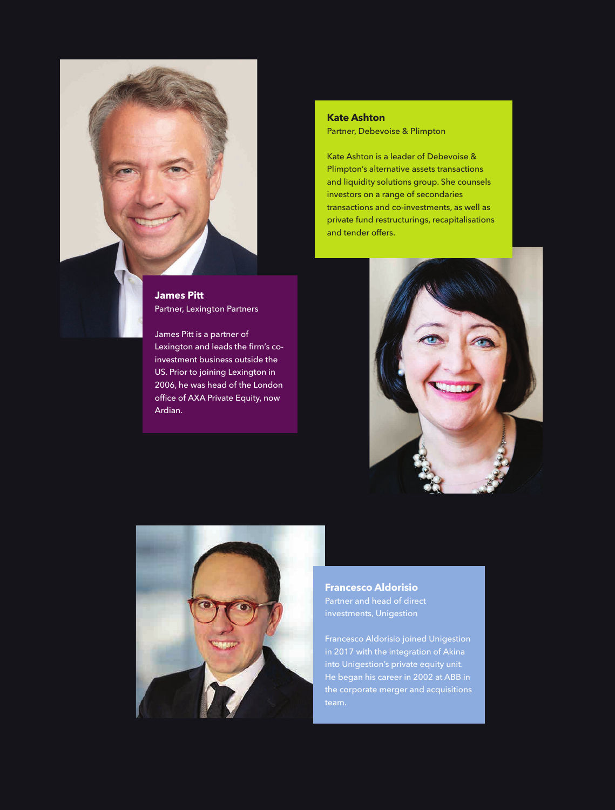

Partner, Lexington Partners

James Pitt is a partner of Lexington and leads the firm's coinvestment business outside the US. Prior to joining Lexington in 2006, he was head of the London office of AXA Private Equity, now Ardian.

## **Kate Ashton** Partner, Debevoise & Plimpton

Kate Ashton is a leader of Debevoise & Plimpton's alternative assets transactions and liquidity solutions group. She counsels investors on a range of secondaries transactions and co-investments, as well as private fund restructurings, recapitalisations and tender offers.





**Francesco Aldorisio** investments, Unigestion

Francesco Aldorisio joined Unigestion in 2017 with the integration of Akina into Unigestion's private equity unit. He began his career in 2002 at ABB in the corporate merger and acquisitions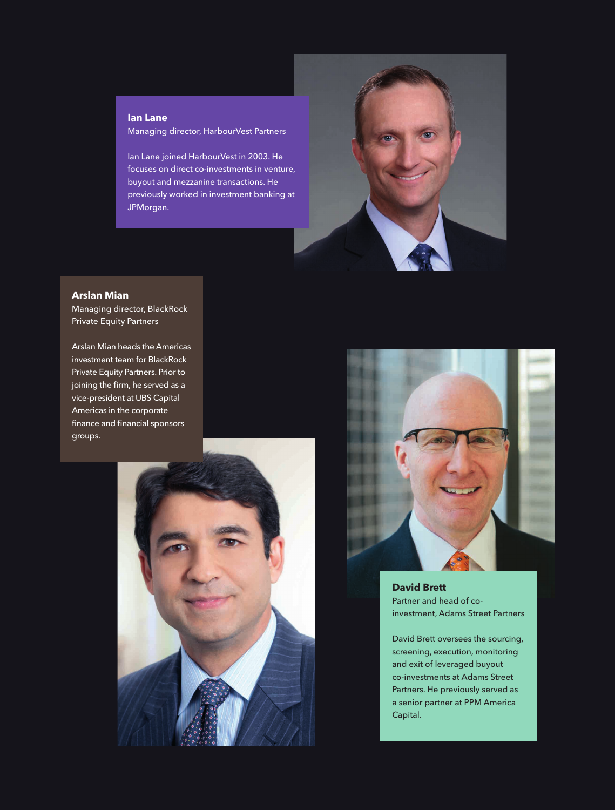#### **Ian Lane**

Managing director, HarbourVest Partners

Ian Lane joined HarbourVest in 2003. He focuses on direct co-investments in venture, buyout and mezzanine transactions. He previously worked in investment banking at JPMorgan.



### **Arslan Mian**

Managing director, BlackRock Private Equity Partners

Arslan Mian heads the Americas investment team for BlackRock Private Equity Partners. Prior to joining the firm, he served as a vice-president at UBS Capital Americas in the corporate finance and financial sponsors groups.





**David Brett** Partner and head of coinvestment, Adams Street Partners

David Brett oversees the sourcing, screening, execution, monitoring and exit of leveraged buyout co-investments at Adams Street Partners. He previously served as a senior partner at PPM America Capital.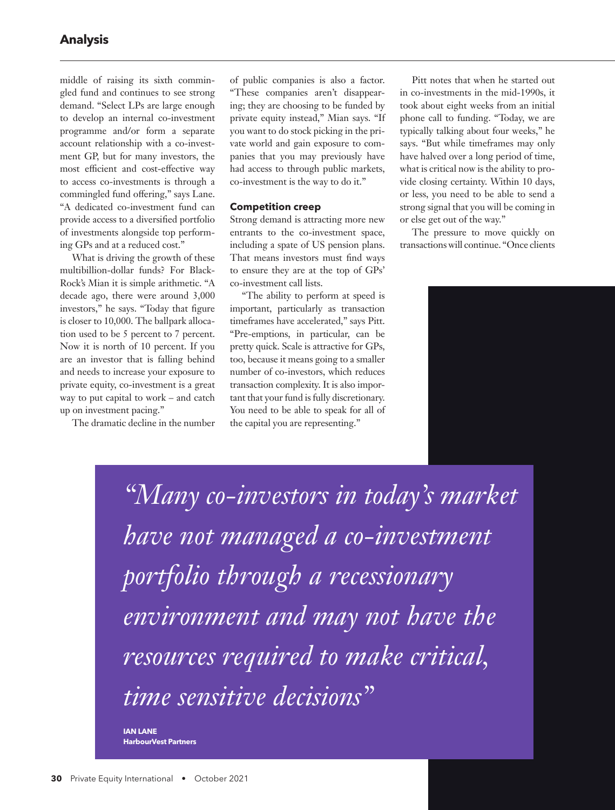middle of raising its sixth commingled fund and continues to see strong demand. "Select LPs are large enough to develop an internal co-investment programme and/or form a separate account relationship with a co-investment GP, but for many investors, the most efficient and cost-effective way to access co-investments is through a commingled fund offering," says Lane. "A dedicated co-investment fund can provide access to a diversified portfolio of investments alongside top performing GPs and at a reduced cost."

What is driving the growth of these multibillion-dollar funds? For Black-Rock's Mian it is simple arithmetic. "A decade ago, there were around 3,000 investors," he says. "Today that figure is closer to 10,000. The ballpark allocation used to be 5 percent to 7 percent. Now it is north of 10 percent. If you are an investor that is falling behind and needs to increase your exposure to private equity, co-investment is a great way to put capital to work – and catch up on investment pacing."

The dramatic decline in the number

of public companies is also a factor. "These companies aren't disappearing; they are choosing to be funded by private equity instead," Mian says. "If you want to do stock picking in the private world and gain exposure to companies that you may previously have had access to through public markets, co-investment is the way to do it."

#### **Competition creep**

Strong demand is attracting more new entrants to the co-investment space, including a spate of US pension plans. That means investors must find ways to ensure they are at the top of GPs' co-investment call lists.

"The ability to perform at speed is important, particularly as transaction timeframes have accelerated," says Pitt. "Pre-emptions, in particular, can be pretty quick. Scale is attractive for GPs, too, because it means going to a smaller number of co-investors, which reduces transaction complexity. It is also important that your fund is fully discretionary. You need to be able to speak for all of the capital you are representing."

Pitt notes that when he started out in co-investments in the mid-1990s, it took about eight weeks from an initial phone call to funding. "Today, we are typically talking about four weeks," he says. "But while timeframes may only have halved over a long period of time, what is critical now is the ability to provide closing certainty. Within 10 days, or less, you need to be able to send a strong signal that you will be coming in or else get out of the way."

The pressure to move quickly on transactions will continue. "Once clients

*"Many co-investors in today's market have not managed a co-investment portfolio through a recessionary environment and may not have the resources required to make critical, time sensitive decisions"* 

**IAN LANE HarbourVest Partners**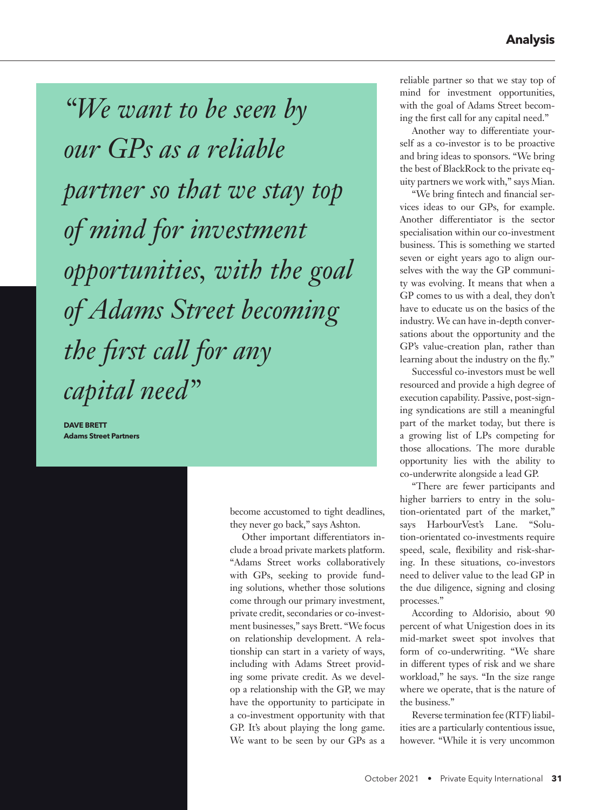*"We want to be seen by our GPs as a reliable partner so that we stay top of mind for investment opportunities, with the goal of Adams Street becoming the first call for any capital need"* 

**DAVE BRETT Adams Street Partners**

> become accustomed to tight deadlines, they never go back," says Ashton.

> Other important differentiators include a broad private markets platform. "Adams Street works collaboratively with GPs, seeking to provide funding solutions, whether those solutions come through our primary investment, private credit, secondaries or co-investment businesses," says Brett. "We focus on relationship development. A relationship can start in a variety of ways, including with Adams Street providing some private credit. As we develop a relationship with the GP, we may have the opportunity to participate in a co-investment opportunity with that GP. It's about playing the long game. We want to be seen by our GPs as a

reliable partner so that we stay top of mind for investment opportunities, with the goal of Adams Street becoming the first call for any capital need."

Another way to differentiate yourself as a co-investor is to be proactive and bring ideas to sponsors. "We bring the best of BlackRock to the private equity partners we work with," says Mian.

"We bring fintech and financial services ideas to our GPs, for example. Another differentiator is the sector specialisation within our co-investment business. This is something we started seven or eight years ago to align ourselves with the way the GP community was evolving. It means that when a GP comes to us with a deal, they don't have to educate us on the basics of the industry. We can have in-depth conversations about the opportunity and the GP's value-creation plan, rather than learning about the industry on the fly."

Successful co-investors must be well resourced and provide a high degree of execution capability. Passive, post-signing syndications are still a meaningful part of the market today, but there is a growing list of LPs competing for those allocations. The more durable opportunity lies with the ability to co-underwrite alongside a lead GP.

"There are fewer participants and higher barriers to entry in the solution-orientated part of the market," says HarbourVest's Lane. "Solution-orientated co-investments require speed, scale, flexibility and risk-sharing. In these situations, co-investors need to deliver value to the lead GP in the due diligence, signing and closing processes."

According to Aldorisio, about 90 percent of what Unigestion does in its mid-market sweet spot involves that form of co-underwriting. "We share in different types of risk and we share workload," he says. "In the size range where we operate, that is the nature of the business."

Reverse termination fee (RTF) liabilities are a particularly contentious issue, however. "While it is very uncommon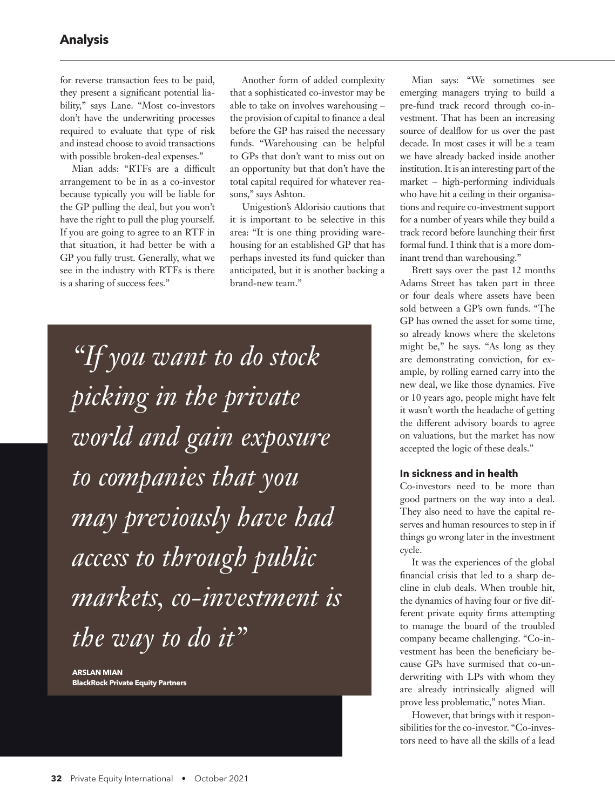for reverse transaction fees to be paid, they present a significant potential liability," says Lane. "Most co-investors don't have the underwriting processes required to evaluate that type of risk and instead choose to avoid transactions with possible broken-deal expenses."

Mian adds: "RTFs are a difficult arrangement to be in as a co-investor because typically you will be liable for the GP pulling the deal, but you won't have the right to pull the plug yourself. If you are going to agree to an RTF in that situation, it had better be with a GP you fully trust. Generally, what we see in the industry with RTFs is there is a sharing of success fees."

Another form of added complexity that a sophisticated co-investor may be able to take on involves warehousing – the provision of capital to finance a deal before the GP has raised the necessary funds. "Warehousing can be helpful to GPs that don't want to miss out on an opportunity but that don't have the total capital required for whatever reasons," says Ashton.

Unigestion's Aldorisio cautions that it is important to be selective in this area: "It is one thing providing warehousing for an established GP that has perhaps invested its fund quicker than anticipated, but it is another backing a brand-new team."

*"If you want to do stock picking in the private world and gain exposure to companies that you may previously have had access to through public markets, co-investment is the way to do it"* 

**ARSLAN MIAN BlackRock Private Equity Partners**

Mian says: "We sometimes see emerging managers trying to build a pre-fund track record through co-investment. That has been an increasing source of dealflow for us over the past decade. In most cases it will be a team we have already backed inside another institution. It is an interesting part of the market – high-performing individuals who have hit a ceiling in their organisations and require co-investment support for a number of years while they build a track record before launching their first formal fund. I think that is a more dominant trend than warehousing."

Brett says over the past 12 months Adams Street has taken part in three or four deals where assets have been sold between a GP's own funds. "The GP has owned the asset for some time, so already knows where the skeletons might be," he says. "As long as they are demonstrating conviction, for example, by rolling earned carry into the new deal, we like those dynamics. Five or 10 years ago, people might have felt it wasn't worth the headache of getting the different advisory boards to agree on valuations, but the market has now accepted the logic of these deals."

#### **In sickness and in health**

Co-investors need to be more than good partners on the way into a deal. They also need to have the capital reserves and human resources to step in if things go wrong later in the investment cycle.

It was the experiences of the global financial crisis that led to a sharp decline in club deals. When trouble hit, the dynamics of having four or five different private equity firms attempting to manage the board of the troubled company became challenging. "Co-investment has been the beneficiary because GPs have surmised that co-underwriting with LPs with whom they are already intrinsically aligned will prove less problematic," notes Mian.

However, that brings with it responsibilities for the co-investor. "Co-investors need to have all the skills of a lead